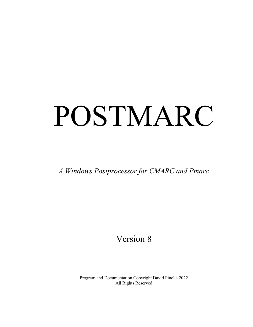# POSTMARC

*A Windows Postprocessor for CMARC and Pmarc*

# Version 8

Program and Documentation Copyright David Pinella 2022 All Rights Reserved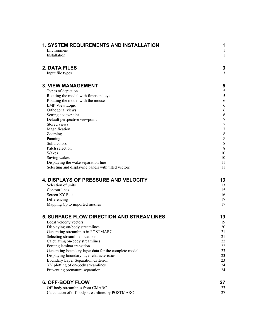| Environment<br>1<br>Installation<br>1<br>2. DATA FILES<br>3<br>3<br>Input file types<br><b>3. VIEW MANAGEMENT</b><br>5<br>5<br>Types of depiction<br>5<br>Rotating the model with function keys<br>6<br>Rotating the model with the mouse<br><b>LMP</b> View Logic<br>6<br>Orthogonal views<br>6<br>Setting a viewpoint<br>6<br>$\overline{7}$<br>Default perspective viewpoint<br>$\boldsymbol{7}$<br>Stored views<br>$\overline{7}$<br>Magnification<br>$\,$ $\,$<br>Zooming<br>$\,$ $\,$<br>Panning<br>$\boldsymbol{8}$<br>Solid colors<br>8<br>Patch selection<br>10<br>Wakes<br>10<br>Saving wakes<br>11<br>Displaying the wake separation line<br>Selecting and displaying panels with tilted vectors<br>11<br><b>4. DISPLAYS OF PRESSURE AND VELOCITY</b><br>13<br>Selection of units<br>13<br>Contour lines<br>15<br><b>Screen XY Plots</b><br>16<br>Differencing<br>17<br>17<br>Mapping Cp to imported meshes<br><b>5. SURFACE FLOW DIRECTION AND STREAMLINES</b><br>19<br>19<br>Local velocity vectors<br>$20\,$<br>Displaying on-body streamlines<br>Generating streamlines in POSTMARC<br>21<br>Selecting streamline locations<br>21<br>Calculating on-body streamlines<br>22<br>22<br>Forcing laminar transition<br>23<br>Generating boundary layer data for the complete model<br>23<br>Displaying boundary layer characteristics<br>23<br>Boundary Layer Separation Criterion<br>24<br>XY plotting of on-body streamlines<br>Preventing premature separation<br>24<br><b>6. OFF-BODY FLOW</b><br>27<br>Off-body streamlines from CMARC<br>27<br>Calculation of off-body streamlines by POSTMARC<br>27 | 1. SYSTEM REQUIREMENTS AND INSTALLATION | 1 |
|----------------------------------------------------------------------------------------------------------------------------------------------------------------------------------------------------------------------------------------------------------------------------------------------------------------------------------------------------------------------------------------------------------------------------------------------------------------------------------------------------------------------------------------------------------------------------------------------------------------------------------------------------------------------------------------------------------------------------------------------------------------------------------------------------------------------------------------------------------------------------------------------------------------------------------------------------------------------------------------------------------------------------------------------------------------------------------------------------------------------------------------------------------------------------------------------------------------------------------------------------------------------------------------------------------------------------------------------------------------------------------------------------------------------------------------------------------------------------------------------------------------------------------------------------------------------------------------------------------------------|-----------------------------------------|---|
|                                                                                                                                                                                                                                                                                                                                                                                                                                                                                                                                                                                                                                                                                                                                                                                                                                                                                                                                                                                                                                                                                                                                                                                                                                                                                                                                                                                                                                                                                                                                                                                                                      |                                         |   |
|                                                                                                                                                                                                                                                                                                                                                                                                                                                                                                                                                                                                                                                                                                                                                                                                                                                                                                                                                                                                                                                                                                                                                                                                                                                                                                                                                                                                                                                                                                                                                                                                                      |                                         |   |
|                                                                                                                                                                                                                                                                                                                                                                                                                                                                                                                                                                                                                                                                                                                                                                                                                                                                                                                                                                                                                                                                                                                                                                                                                                                                                                                                                                                                                                                                                                                                                                                                                      |                                         |   |
|                                                                                                                                                                                                                                                                                                                                                                                                                                                                                                                                                                                                                                                                                                                                                                                                                                                                                                                                                                                                                                                                                                                                                                                                                                                                                                                                                                                                                                                                                                                                                                                                                      |                                         |   |
|                                                                                                                                                                                                                                                                                                                                                                                                                                                                                                                                                                                                                                                                                                                                                                                                                                                                                                                                                                                                                                                                                                                                                                                                                                                                                                                                                                                                                                                                                                                                                                                                                      |                                         |   |
|                                                                                                                                                                                                                                                                                                                                                                                                                                                                                                                                                                                                                                                                                                                                                                                                                                                                                                                                                                                                                                                                                                                                                                                                                                                                                                                                                                                                                                                                                                                                                                                                                      |                                         |   |
|                                                                                                                                                                                                                                                                                                                                                                                                                                                                                                                                                                                                                                                                                                                                                                                                                                                                                                                                                                                                                                                                                                                                                                                                                                                                                                                                                                                                                                                                                                                                                                                                                      |                                         |   |
|                                                                                                                                                                                                                                                                                                                                                                                                                                                                                                                                                                                                                                                                                                                                                                                                                                                                                                                                                                                                                                                                                                                                                                                                                                                                                                                                                                                                                                                                                                                                                                                                                      |                                         |   |
|                                                                                                                                                                                                                                                                                                                                                                                                                                                                                                                                                                                                                                                                                                                                                                                                                                                                                                                                                                                                                                                                                                                                                                                                                                                                                                                                                                                                                                                                                                                                                                                                                      |                                         |   |
|                                                                                                                                                                                                                                                                                                                                                                                                                                                                                                                                                                                                                                                                                                                                                                                                                                                                                                                                                                                                                                                                                                                                                                                                                                                                                                                                                                                                                                                                                                                                                                                                                      |                                         |   |
|                                                                                                                                                                                                                                                                                                                                                                                                                                                                                                                                                                                                                                                                                                                                                                                                                                                                                                                                                                                                                                                                                                                                                                                                                                                                                                                                                                                                                                                                                                                                                                                                                      |                                         |   |
|                                                                                                                                                                                                                                                                                                                                                                                                                                                                                                                                                                                                                                                                                                                                                                                                                                                                                                                                                                                                                                                                                                                                                                                                                                                                                                                                                                                                                                                                                                                                                                                                                      |                                         |   |
|                                                                                                                                                                                                                                                                                                                                                                                                                                                                                                                                                                                                                                                                                                                                                                                                                                                                                                                                                                                                                                                                                                                                                                                                                                                                                                                                                                                                                                                                                                                                                                                                                      |                                         |   |
|                                                                                                                                                                                                                                                                                                                                                                                                                                                                                                                                                                                                                                                                                                                                                                                                                                                                                                                                                                                                                                                                                                                                                                                                                                                                                                                                                                                                                                                                                                                                                                                                                      |                                         |   |
|                                                                                                                                                                                                                                                                                                                                                                                                                                                                                                                                                                                                                                                                                                                                                                                                                                                                                                                                                                                                                                                                                                                                                                                                                                                                                                                                                                                                                                                                                                                                                                                                                      |                                         |   |
|                                                                                                                                                                                                                                                                                                                                                                                                                                                                                                                                                                                                                                                                                                                                                                                                                                                                                                                                                                                                                                                                                                                                                                                                                                                                                                                                                                                                                                                                                                                                                                                                                      |                                         |   |
|                                                                                                                                                                                                                                                                                                                                                                                                                                                                                                                                                                                                                                                                                                                                                                                                                                                                                                                                                                                                                                                                                                                                                                                                                                                                                                                                                                                                                                                                                                                                                                                                                      |                                         |   |
|                                                                                                                                                                                                                                                                                                                                                                                                                                                                                                                                                                                                                                                                                                                                                                                                                                                                                                                                                                                                                                                                                                                                                                                                                                                                                                                                                                                                                                                                                                                                                                                                                      |                                         |   |
|                                                                                                                                                                                                                                                                                                                                                                                                                                                                                                                                                                                                                                                                                                                                                                                                                                                                                                                                                                                                                                                                                                                                                                                                                                                                                                                                                                                                                                                                                                                                                                                                                      |                                         |   |
|                                                                                                                                                                                                                                                                                                                                                                                                                                                                                                                                                                                                                                                                                                                                                                                                                                                                                                                                                                                                                                                                                                                                                                                                                                                                                                                                                                                                                                                                                                                                                                                                                      |                                         |   |
|                                                                                                                                                                                                                                                                                                                                                                                                                                                                                                                                                                                                                                                                                                                                                                                                                                                                                                                                                                                                                                                                                                                                                                                                                                                                                                                                                                                                                                                                                                                                                                                                                      |                                         |   |
|                                                                                                                                                                                                                                                                                                                                                                                                                                                                                                                                                                                                                                                                                                                                                                                                                                                                                                                                                                                                                                                                                                                                                                                                                                                                                                                                                                                                                                                                                                                                                                                                                      |                                         |   |
|                                                                                                                                                                                                                                                                                                                                                                                                                                                                                                                                                                                                                                                                                                                                                                                                                                                                                                                                                                                                                                                                                                                                                                                                                                                                                                                                                                                                                                                                                                                                                                                                                      |                                         |   |
|                                                                                                                                                                                                                                                                                                                                                                                                                                                                                                                                                                                                                                                                                                                                                                                                                                                                                                                                                                                                                                                                                                                                                                                                                                                                                                                                                                                                                                                                                                                                                                                                                      |                                         |   |
|                                                                                                                                                                                                                                                                                                                                                                                                                                                                                                                                                                                                                                                                                                                                                                                                                                                                                                                                                                                                                                                                                                                                                                                                                                                                                                                                                                                                                                                                                                                                                                                                                      |                                         |   |
|                                                                                                                                                                                                                                                                                                                                                                                                                                                                                                                                                                                                                                                                                                                                                                                                                                                                                                                                                                                                                                                                                                                                                                                                                                                                                                                                                                                                                                                                                                                                                                                                                      |                                         |   |
|                                                                                                                                                                                                                                                                                                                                                                                                                                                                                                                                                                                                                                                                                                                                                                                                                                                                                                                                                                                                                                                                                                                                                                                                                                                                                                                                                                                                                                                                                                                                                                                                                      |                                         |   |
|                                                                                                                                                                                                                                                                                                                                                                                                                                                                                                                                                                                                                                                                                                                                                                                                                                                                                                                                                                                                                                                                                                                                                                                                                                                                                                                                                                                                                                                                                                                                                                                                                      |                                         |   |
|                                                                                                                                                                                                                                                                                                                                                                                                                                                                                                                                                                                                                                                                                                                                                                                                                                                                                                                                                                                                                                                                                                                                                                                                                                                                                                                                                                                                                                                                                                                                                                                                                      |                                         |   |
|                                                                                                                                                                                                                                                                                                                                                                                                                                                                                                                                                                                                                                                                                                                                                                                                                                                                                                                                                                                                                                                                                                                                                                                                                                                                                                                                                                                                                                                                                                                                                                                                                      |                                         |   |
|                                                                                                                                                                                                                                                                                                                                                                                                                                                                                                                                                                                                                                                                                                                                                                                                                                                                                                                                                                                                                                                                                                                                                                                                                                                                                                                                                                                                                                                                                                                                                                                                                      |                                         |   |
|                                                                                                                                                                                                                                                                                                                                                                                                                                                                                                                                                                                                                                                                                                                                                                                                                                                                                                                                                                                                                                                                                                                                                                                                                                                                                                                                                                                                                                                                                                                                                                                                                      |                                         |   |
|                                                                                                                                                                                                                                                                                                                                                                                                                                                                                                                                                                                                                                                                                                                                                                                                                                                                                                                                                                                                                                                                                                                                                                                                                                                                                                                                                                                                                                                                                                                                                                                                                      |                                         |   |
|                                                                                                                                                                                                                                                                                                                                                                                                                                                                                                                                                                                                                                                                                                                                                                                                                                                                                                                                                                                                                                                                                                                                                                                                                                                                                                                                                                                                                                                                                                                                                                                                                      |                                         |   |
|                                                                                                                                                                                                                                                                                                                                                                                                                                                                                                                                                                                                                                                                                                                                                                                                                                                                                                                                                                                                                                                                                                                                                                                                                                                                                                                                                                                                                                                                                                                                                                                                                      |                                         |   |
|                                                                                                                                                                                                                                                                                                                                                                                                                                                                                                                                                                                                                                                                                                                                                                                                                                                                                                                                                                                                                                                                                                                                                                                                                                                                                                                                                                                                                                                                                                                                                                                                                      |                                         |   |
|                                                                                                                                                                                                                                                                                                                                                                                                                                                                                                                                                                                                                                                                                                                                                                                                                                                                                                                                                                                                                                                                                                                                                                                                                                                                                                                                                                                                                                                                                                                                                                                                                      |                                         |   |
|                                                                                                                                                                                                                                                                                                                                                                                                                                                                                                                                                                                                                                                                                                                                                                                                                                                                                                                                                                                                                                                                                                                                                                                                                                                                                                                                                                                                                                                                                                                                                                                                                      |                                         |   |
|                                                                                                                                                                                                                                                                                                                                                                                                                                                                                                                                                                                                                                                                                                                                                                                                                                                                                                                                                                                                                                                                                                                                                                                                                                                                                                                                                                                                                                                                                                                                                                                                                      |                                         |   |
|                                                                                                                                                                                                                                                                                                                                                                                                                                                                                                                                                                                                                                                                                                                                                                                                                                                                                                                                                                                                                                                                                                                                                                                                                                                                                                                                                                                                                                                                                                                                                                                                                      |                                         |   |
|                                                                                                                                                                                                                                                                                                                                                                                                                                                                                                                                                                                                                                                                                                                                                                                                                                                                                                                                                                                                                                                                                                                                                                                                                                                                                                                                                                                                                                                                                                                                                                                                                      |                                         |   |
|                                                                                                                                                                                                                                                                                                                                                                                                                                                                                                                                                                                                                                                                                                                                                                                                                                                                                                                                                                                                                                                                                                                                                                                                                                                                                                                                                                                                                                                                                                                                                                                                                      |                                         |   |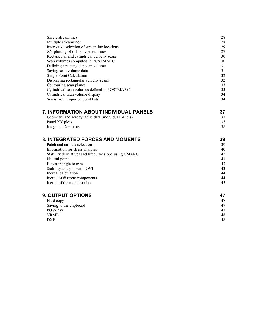| Single streamlines                                     | 28 |
|--------------------------------------------------------|----|
| Multiple streamlines                                   | 28 |
| Interactive selection of streamline locations          | 29 |
| XY plotting of off-body streamlines                    | 29 |
| Rectangular and cylindrical velocity scans             | 30 |
| Scan volumes computed in POSTMARC                      | 30 |
| Defining a rectangular scan volume                     | 31 |
| Saving scan volume data                                | 31 |
| Single Point Calculation                               | 32 |
| Displaying rectangular velocity scans                  | 32 |
| Contouring scan planes                                 | 33 |
| Cylindrical scan volumes defined in POSTMARC           | 33 |
| Cylindrical scan volume display                        | 34 |
| Scans from imported point lists                        | 34 |
| 7. INFORMATION ABOUT INDIVIDUAL PANELS                 | 37 |
| Geometry and aerodynamic data (individual panels)      | 37 |
| Panel XY plots                                         | 37 |
| Integrated XY plots                                    | 38 |
| 8. INTEGRATED FORCES AND MOMENTS                       | 39 |
| Patch and air data selection                           | 39 |
| Information for stress analysis                        | 40 |
| Stability derivatives and lift curve slope using CMARC | 42 |
| Neutral point                                          | 43 |
| Elevator angle to trim                                 | 43 |
| Stability analysis with DWT                            | 43 |
| Inertial calculation                                   | 44 |
| Inertia of discrete components                         | 44 |
| Inertia of the model surface                           | 45 |
| <b>9. OUTPUT OPTIONS</b>                               | 47 |
| Hard copy                                              | 47 |
| Saving to the clipboard                                | 47 |
| POV-Ray                                                | 47 |
| <b>VRML</b>                                            | 48 |
| <b>DXF</b>                                             | 48 |
|                                                        |    |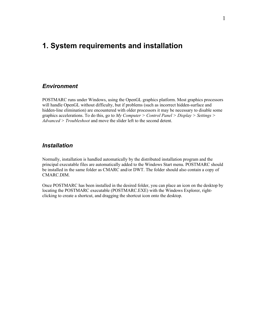# <span id="page-3-2"></span>**1. System requirements and installation**

#### <span id="page-3-1"></span>*Environment*

POSTMARC runs under Windows, using the OpenGL graphics platform. Most graphics processors will handle OpenGL without difficulty, but if problems (such as incorrect hidden-surface and hidden-line elimination) are encountered with older processors it may be necessary to disable some graphics accelerations. To do this, go to *My Computer > Control Panel > Display > Settings > Advanced > Troubleshoot* and move the slider left to the second detent.

#### <span id="page-3-0"></span>*Installation*

Normally, installation is handled automatically by the distributed installation program and the principal executable files are automatically added to the Windows Start menu. POSTMARC should be installed in the same folder as CMARC and/or DWT. The folder should also contain a copy of CMARC.DIM.

Once POSTMARC has been installed in the desired folder, you can place an icon on the desktop by locating the POSTMARC executable (POSTMARC.EXE) with the Windows Explorer, rightclicking to create a shortcut, and dragging the shortcut icon onto the desktop.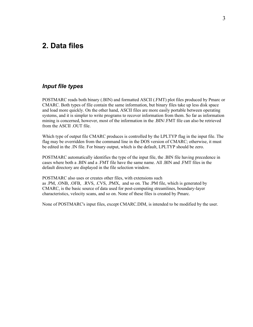# <span id="page-4-1"></span>**2. Data files**

#### <span id="page-4-0"></span>*Input file types*

POSTMARC reads both binary (.BIN) and formatted ASCII (.FMT) plot files produced by Pmarc or CMARC. Both types of file contain the same information, but binary files take up less disk space and load more quickly. On the other hand, ASCII files are more easily portable between operating systems, and it is simpler to write programs to recover information from them. So far as information mining is concerned, however, most of the information in the .BIN/.FMT file can also be retrieved from the ASCII .OUT file.

Which type of output file CMARC produces is controlled by the LPLTYP flag in the input file. The flag may be overridden from the command line in the DOS version of CMARC; otherwise, it must be edited in the .IN file. For binary output, which is the default, LPLTYP should be zero.

POSTMARC automatically identifies the type of the input file, the .BIN file having precedence in cases where both a .BIN and a .FMT file have the same name. All .BIN and .FMT files in the default directory are displayed in the file selection window.

POSTMARC also uses or creates other files, with extensions such as .PM, .ONB, .OFB, .RVS, .CVS, .PMX, and so on. The .PM file, which is generated by CMARC, is the basic source of data used for post-computing streamlines, boundary-layer characteristics, velocity scans, and so on. None of these files is created by Pmarc.

None of POSTMARC's input files, except CMARC.DIM, is intended to be modified by the user.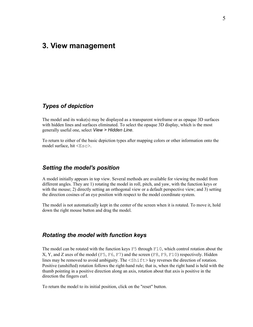# <span id="page-5-2"></span>**3. View management**

#### <span id="page-5-1"></span>*Types of depiction*

The model and its wake(s) may be displayed as a transparent wireframe or as opaque 3D surfaces with hidden lines and surfaces eliminated. To select the opaque 3D display, which is the most generally useful one, select *View > Hidden Line*.

To return to either of the basic depiction types after mapping colors or other information onto the model surface, hit <Esc>.

#### *Setting the model's position*

A model initially appears in top view. Several methods are available for viewing the model from different angles. They are 1) rotating the model in roll, pitch, and yaw, with the function keys or with the mouse; 2) directly setting an orthogonal view or a default perspective view; and 3) setting the direction cosines of an eye position with respect to the model coordinate system.

The model is not automatically kept in the center of the screen when it is rotated. To move it, hold down the right mouse button and drag the model.

#### <span id="page-5-0"></span>*Rotating the model with function keys*

The model can be rotated with the function keys F5 through F10, which control rotation about the X, Y, and Z axes of the model  $(F5, F6, F7)$  and the screen  $(F8, F9, F10)$  respectively. Hidden lines may be removed to avoid ambiguity. The  $\langle \text{Shift} \rangle$  key reverses the direction of rotation. Positive (unshifted) rotation follows the right-hand rule; that is, when the right hand is held with the thumb pointing in a positive direction along an axis, rotation about that axis is positive in the direction the fingers curl.

To return the model to its initial position, click on the "reset" button.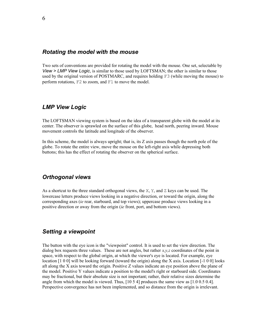#### <span id="page-6-3"></span>*Rotating the model with the mouse*

Two sets of conventions are provided for rotating the model with the mouse. One set, selectable by *View > LMP View Logic*, is similar to those used by LOFTSMAN; the other is similar to those used by the original version of POSTMARC, and requires holding F3 (while moving the mouse) to perform rotations, F2 to zoom, and F1 to move the model.

#### <span id="page-6-2"></span>*LMP View Logic*

The LOFTSMAN viewing system is based on the idea of a transparent globe with the model at its center. The observer is sprawled on the surface of this globe, head north, peering inward. Mouse movement controls the latitude and longitude of the observer.

In this scheme, the model is always upright; that is, its Z axis passes though the north pole of the globe. To rotate the entire view, move the mouse on the left-right axis while depressing both buttons; this has the effect of rotating the observer on the spherical surface.

#### <span id="page-6-1"></span>*Orthogonal views*

As a shortcut to the three standard orthogonal views, the X, Y, and Z keys can be used. The lowercase letters produce views looking in a negative direction, or toward the origin, along the corresponding axes (*ie* rear, starboard, and top views); uppercase produce views looking in a positive direction or away from the origin (*ie* front, port, and bottom views).

#### <span id="page-6-0"></span>*Setting a viewpoint*

The button with the eye icon is the "viewpoint" control. It is used to set the view direction. The dialog box requests three values. These are not angles, but rather *x,y,z* coordinates of the point in space, with respect to the global origin, at which the viewer's eye is located. For example, eye location [1 0 0] will be looking forward (toward the origin) along the X axis. Location [-1 0 0] looks aft along the X axis toward the origin. Positive Z values indicate an eye position above the plane of the model. Positive Y values indicate a position to the model's right or starboard side. Coordinates may be fractional, but their absolute size is not important; rather, their relative sizes determine the angle from which the model is viewed. Thus, [10 5 4] produces the same view as [1.0 0.5 0.4]. Perspective convergence has not been implemented, and so distance from the origin is irrelevant.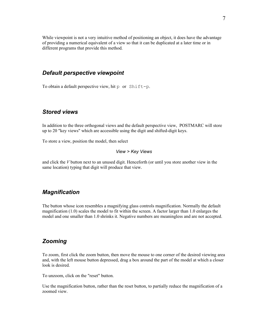While viewpoint is not a very intuitive method of positioning an object, it does have the advantage of providing a numerical equivalent of a view so that it can be duplicated at a later time or in different programs that provide this method.

#### <span id="page-7-3"></span>*Default perspective viewpoint*

To obtain a default perspective view, hit p or Shift-p.

#### <span id="page-7-2"></span>*Stored views*

In addition to the three orthogonal views and the default perspective view, POSTMARC will store up to 20 "key views" which are accessible using the digit and shifted-digit keys.

To store a view, position the model, then select

#### *View > Key Views*

and click the *V* button next to an unused digit. Henceforth (or until you store another view in the same location) typing that digit will produce that view.

#### <span id="page-7-1"></span>*Magnification*

The button whose icon resembles a magnifying glass controls magnification. Normally the default magnification (1.0) scales the model to fit within the screen. A factor larger than 1.0 enlarges the model and one smaller than 1.0 shrinks it. Negative numbers are meaningless and are not accepted.

### <span id="page-7-0"></span>*Zooming*

To zoom, first click the zoom button, then move the mouse to one corner of the desired viewing area and, with the left mouse button depressed, drag a box around the part of the model at which a closer look is desired.

To unzoom, click on the "reset" button.

Use the magnification button, rather than the reset button, to partially reduce the magnification of a zoomed view.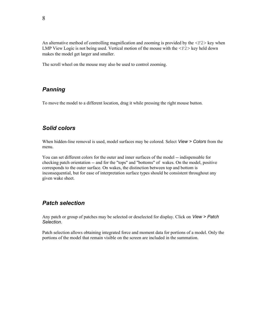An alternative method of controlling magnification and zooming is provided by the  $\langle F2 \rangle$  key when LMP View Logic is not being used. Vertical motion of the mouse with the  $\langle F2 \rangle$  key held down makes the model get larger and smaller.

The scroll wheel on the mouse may also be used to control zooming.

# <span id="page-8-2"></span>*Panning*

To move the model to a different location, drag it while pressing the right mouse button.

# <span id="page-8-1"></span>*Solid colors*

When hidden-line removal is used, model surfaces may be colored. Select *View > Colors* from the menu.

You can set different colors for the outer and inner surfaces of the model -- indispensable for checking patch orientation -- and for the "tops" and "bottoms" of wakes. On the model, positive corresponds to the outer surface. On wakes, the distinction between top and bottom is inconsequential, but for ease of interpretation surface types should be consistent throughout any given wake sheet.

# <span id="page-8-0"></span>*Patch selection*

Any patch or group of patches may be selected or deselected for display. Click on *View > Patch Selection*.

Patch selection allows obtaining integrated force and moment data for portions of a model. Only the portions of the model that remain visible on the screen are included in the summation.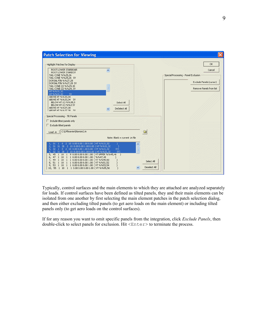

Typically, control surfaces and the main elements to which they are attached are analyzed separately for loads. If control surfaces have been defined as tilted panels, they and their main elements can be isolated from one another by first selecting the main element patches in the patch selection dialog, and then either excluding tilted panels (to get aero loads on the main element) or including tilted panels only (to get aero loads on the control surfaces).

If for any reason you want to omit specific panels from the integration, click *Exclude Panels*, then double-click to select panels for exclusion. Hit <Enter> to terminate the process.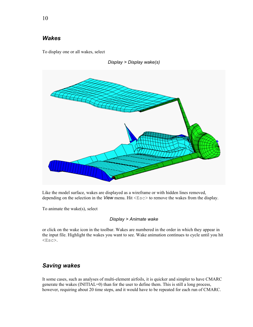## <span id="page-10-0"></span>*Wakes*

To display one or all wakes, select



*Display > Display wake(s)*

Like the model surface, wakes are displayed as a wireframe or with hidden lines removed, depending on the selection in the *View* menu. Hit <Esc> to remove the wakes from the display.

To animate the wake(s), select

#### *Display > Animate wake*

or click on the wake icon in the toolbar. Wakes are numbered in the order in which they appear in the input file. Highlight the wakes you want to see. Wake animation continues to cycle until you hit <Esc>.

# <span id="page-10-1"></span>*Saving wakes*

It some cases, such as analyses of multi-element airfoils, it is quicker and simpler to have CMARC generate the wakes (INITIAL=0) than for the user to define them. This is still a long process, however, requiring about 20 time steps, and it would have to be repeated for each run of CMARC.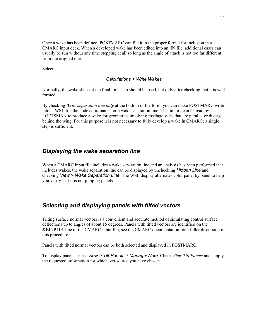Once a wake has been defined, POSTMARC can file it in the proper format for inclusion in a CMARC input deck. When a developed wake has been edited into an .IN file, additional cases can usually be run without any time stepping at all so long as the angle of attack is not too far different from the original one.

Select

#### *Calculations > Write Wakes*

Normally, the wake shape at the final time step should be used, but only after checking that it is well formed.

By checking *Write separation line only* at the bottom of the form, you can make POSTMARC write into a .WSL file the node coordinates for a wake separation line. This in turn can be read by LOFTSMAN to produce a wake for geometries involving fuselage sides that are parallel or diverge behind the wing. For this purpose it is not necessary to fully develop a wake in CMARC; a single step is sufficient.

#### <span id="page-11-1"></span>*Displaying the wake separation line*

When a CMARC input file includes a wake separation line and an analysis has been performed that includes wakes, the wake separation line can be displayed by unchecking *Hidden Line* and checking *View > Wake Separation Line*. The WSL display alternates color panel by panel to help you verify that it is not jumping panels.

### <span id="page-11-0"></span>*Selecting and displaying panels with tilted vectors*

Tilting surface normal vectors is a convenient and accurate method of simulating control surface deflections up to angles of about 15 degrees. Panels with tilted vectors are identified on the &BINP11A line of the CMARC input file; see the CMARC documentation for a fuller discussion of this procedure.

Panels with tilted normal vectors can be both selected and displayed in POSTMARC.

To display panels, select *View > Tilt Panels > Manage/Write*. Check *View Tilt Panels* and supply the requested information for whichever source you have chosen.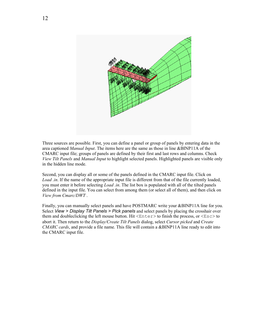

Three sources are possible. First, you can define a panel or group of panels by entering data in the area captioned *Manual Input*. The items here are the same as those in line &BINP11A of the CMARC input file; groups of panels are defined by their first and last rows and columns. Check *View Tilt Panels* and *Manual Input* to highlight selected panels. Highlighted panels are visible only in the hidden line mode.

Second, you can display all or some of the panels defined in the CMARC input file. Click on *Load .in.* If the name of the appropriate input file is different from that of the file currently loaded, you must enter it before selecting *Load .in*. The list box is populated with all of the tilted panels defined in the input file. You can select from among them (or select all of them), and then click on *View from Cmarc/DWT* .

Finally, you can manually select panels and have POSTMARC write your &BINP11A line for you. Select *View > Display Tilt Panels > Pick panels* and select panels by placing the crosshair over them and doubleclicking the left mouse button. Hit  $\langle$ Enter>to finish the process, or  $\langle$ Esc>to abort it. Then return to the *Display/Create Tilt Panels* dialog, select *Cursor picked* and *Create CMARC cards*, and provide a file name. This file will contain a &BINP11A line ready to edit into the CMARC input file.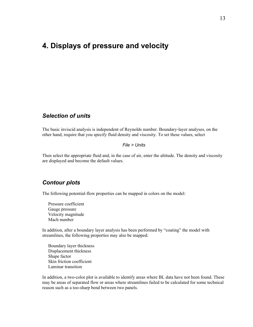# <span id="page-13-1"></span>**4. Displays of pressure and velocity**

#### <span id="page-13-0"></span>*Selection of units*

The basic inviscid analysis is independent of Reynolds number. Boundary-layer analyses, on the other hand, require that you specify fluid density and viscosity. To set these values, select

#### *File > Units*

Then select the appropriate fluid and, in the case of air, enter the altitude. The density and viscosity are displayed and become the default values.

## *Contour plots*

The following potential-flow properties can be mapped in colors on the model:

Pressure coefficient Gauge pressure Velocity magnitude Mach number

In addition, after a boundary layer analysis has been performed by "coating" the model with streamlines, the following properties may also be mapped:

Boundary layer thickness Displacement thickness Shape factor Skin friction coefficient Laminar transition

In addition, a two-color plot is available to identify areas where BL data have not been found. These may be areas of separated flow or areas where streamlines failed to be calculated for some technical reason such as a too-sharp bend between two panels.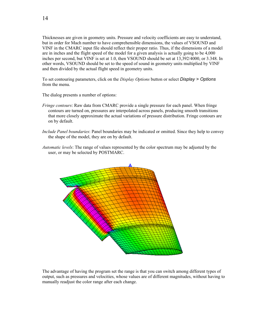Thicknesses are given in geometry units. Pressure and velocity coefficients are easy to understand, but in order for Mach number to have comprehensible dimensions, the values of VSOUND and VINF in the CMARC input file should reflect their proper ratio. Thus, if the dimensions of a model are in inches and the flight speed of the model for a given analysis is actually going to be 4,000 inches per second, but VINF is set at 1.0, then VSOUND should be set at 13,392/4000, or 3.348. In other words, VSOUND should be set to the speed of sound in geometry units multiplied by VINF and then divided by the actual flight speed in geometry units.

To set contouring parameters, click on the *Display Options* button or select *Display > Options* from the menu.

The dialog presents a number of options:

- *Fringe contours*: Raw data from CMARC provide a single pressure for each panel. When fringe contours are turned on, pressures are interpolated across panels, producing smooth transitions that more closely approximate the actual variations of pressure distribution. Fringe contours are on by default.
- *Include Panel boundaries*: Panel boundaries may be indicated or omitted. Since they help to convey the shape of the model, they are on by default.
- *Automatic levels*: The range of values represented by the color spectrum may be adjusted by the user, or may be selected by POSTMARC.



The advantage of having the program set the range is that you can switch among different types of output, such as pressures and velocities, whose values are of different magnitudes, without having to manually readjust the color range after each change.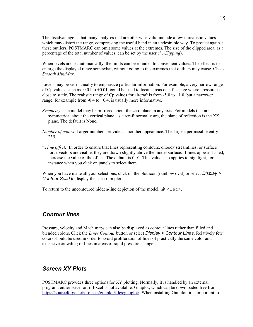The disadvantage is that many analyses that are otherwise valid include a few unrealistic values which may distort the range, compressing the useful band in an undesirable way. To protect against these outliers, POSTMARC can omit some values at the extremes. The size of the clipped area, as a percentage of the total number of values, can be set by the user (*% Clipping*).

When levels are set automatically, the limits can be rounded to convenient values. The effect is to enlarge the displayed range somewhat, without going to the extremes that outliers may cause. Check *Smooth Min/Max*.

Levels may be set manually to emphasize particular information. For example, a very narrow range of Cp values, such as  $-0.01$  to  $+0.01$ , could be used to locate areas on a fuselage where pressure is close to static. The realistic range of Cp values for aircraft is from  $-5.0$  to  $+1.0$ , but a narrower range, for example from  $-0.4$  to  $+0.4$ , is usually more informative.

- *Symmetry*: The model may be mirrored about the zero plane in any axis. For models that are symmetrical about the vertical plane, as aircraft normally are, the plane of reflection is the XZ plane. The default is None.
- *Number of colors*: Larger numbers provide a smoother appearance. The largest permissible entry is 255.
- *% line offset:* In order to ensure that lines representing contours, onbody streamlines, or surface force vectors are visible, they are drawn slightly above the model surface. If lines appear dashed, increase the value of the offset. The default is 0.01. This value also applies to highlight, for instance when you click on panels to select them.

When you have made all your selections, click on the plot icon (rainbow oval) or select *Display > Contour Solid* to display the spectrum plot.

To return to the uncontoured hidden-line depiction of the model, hit  $\langle$ Esc $\rangle$ .

#### <span id="page-15-1"></span>*Contour lines*

Pressure, velocity and Mach maps can also be displayed as contour lines rather than filled and blended colors. Click the *Lines Contour* button or select *Display > Contour Lines*. Relatively few colors should be used in order to avoid proliferation of lines of practically the same color and excessive crowding of lines in areas of rapid pressure change.

#### <span id="page-15-0"></span>*Screen XY Plots*

POSTMARC provides three options for XY plotting. Normally, it is handled by an external program, either Excel or, if Excel is not available, Gnuplot, which can be downloaded free from <https://sourceforge.net/projects/gnuplot/files/gnuplot/>. When installing Gnuplot, it is important to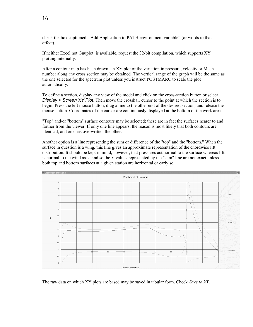check the box captioned "Add Application to PATH environment variable" (or words to that effect).

If neither Excel not Gnuplot is available, request the 32-bit compilation, which supports XY plotting internally.

After a contour map has been drawn, an XY plot of the variation in pressure, velocity or Mach number along any cross section may be obtained. The vertical range of the graph will be the same as the one selected for the spectrum plot unless you instruct POSTMARC to scale the plot automatically.

To define a section, display any view of the model and click on the cross-section button or select *Display > Screen XY Plot*. Then move the crosshair cursor to the point at which the section is to begin. Press the left mouse button, drag a line to the other end of the desired section, and release the mouse button. Coordinates of the cursor are continuously displayed at the bottom of the work area.

"Top" and/or "bottom" surface contours may be selected; these are in fact the surfaces nearer to and farther from the viewer. If only one line appears, the reason is most likely that both contours are identical, and one has overwritten the other.

Another option is a line representing the sum or difference of the "top" and the "bottom." When the surface in question is a wing, this line gives an approximate representation of the chordwise lift distribution. It should be kept in mind, however, that pressures act normal to the surface whereas lift is normal to the wind axis; and so the Y values represented by the "sum" line are not exact unless both top and bottom surfaces at a given station are horizontal or early so.



The raw data on which XY plots are based may be saved in tabular form. Check *Save to XY*.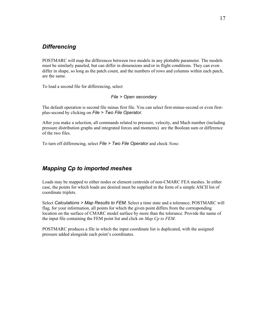## <span id="page-17-1"></span>*Differencing*

POSTMARC will map the differences between two models in any plottable parameter. The models must be similarly paneled, but can differ in dimensions and/or in flight conditions. They can even differ in shape, so long as the patch count, and the numbers of rows and columns within each patch, are the same.

To load a second file for differencing, select

*File > Open secondary*

The default operation is second file minus first file. You can select first-minus-second or even firstplus-second by clicking on *File > Two File Operator*.

After you make a selection, all commands related to pressure, velocity, and Mach number (including pressure distribution graphs and integrated forces and moments) are the Boolean sum or difference of the two files.

To turn off differencing, select *File > Two File Operator* and check *None*.

## <span id="page-17-0"></span>*Mapping Cp to imported meshes*

Loads may be mapped to either nodes or element centroids of non-CMARC FEA meshes. In either case, the points for which loads are desired must be supplied in the form of a simple ASCII list of coordinate triplets.

Select *Calculations > Map Results to FEM*. Select a time state and a tolerance; POSTMARC will flag, for your information, all points for which the given point differs from the corresponding location on the surface of CMARC model surface by more than the tolerance. Provide the name of the input file containing the FEM point list and click on *Map Cp to FEM*.

POSTMARC produces a file in which the input coordinate list is duplicated, with the assigned pressure added alongside each point's coordinates.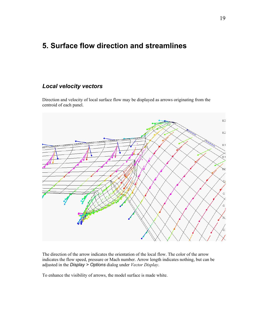# <span id="page-18-1"></span>**5. Surface flow direction and streamlines**

#### <span id="page-18-0"></span>*Local velocity vectors*

Direction and velocity of local surface flow may be displayed as arrows originating from the centroid of each panel.



The direction of the arrow indicates the orientation of the local flow. The color of the arrow indicates the flow speed, pressure or Mach number. Arrow length indicates nothing, but can be adjusted in the *Display > Options* dialog under *Vector Display*.

To enhance the visibility of arrows, the model surface is made white.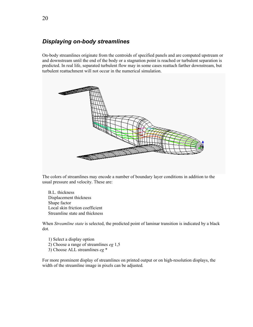## <span id="page-19-0"></span>*Displaying on-body streamlines*

On-body streamlines originate from the centroids of specified panels and are computed upstream or and downstream until the end of the body or a stagnation point is reached or turbulent separation is predicted. In real life, separated turbulent flow may in some cases reattach farther downstream, but turbulent reattachment will not occur in the numerical simulation.



The colors of streamlines may encode a number of boundary layer conditions in addition to the usual pressure and velocity. These are:

B.L. thickness Displacement thickness Shape factor Local skin friction coefficient Streamline state and thickness

When *Streamline state* is selected, the predicted point of laminar transition is indicated by a black dot.

- 1) Select a display option
- 2) Choose a range of streamlines *eg* 1,5
- 3) Choose ALL streamlines *eg* \*

For more prominent display of streamlines on printed output or on high-resolution displays, the width of the streamline image in pixels can be adjusted.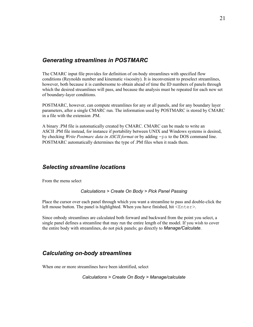#### <span id="page-20-2"></span>*Generating streamlines in POSTMARC*

The CMARC input file provides for definition of on-body streamlines with specified flow conditions (Reynolds number and kinematic viscosity). It is inconvenient to preselect streamlines, however, both because it is cumbersome to obtain ahead of time the ID numbers of panels through which the desired streamlines will pass, and because the analysis must be repeated for each new set of boundary-layer conditions.

POSTMARC, however, can compute streamlines for any or all panels, and for any boundary layer parameters, after a single CMARC run. The information used by POSTMARC is stored by CMARC in a file with the extension .PM.

A binary .PM file is automatically created by CMARC. CMARC can be made to write an ASCII .PM file instead, for instance if portability between UNIX and Windows systems is desired, by checking *Write Postmarc data in ASCII format* or by adding -pa to the DOS command line. POSTMARC automatically determines the type of .PM files when it reads them.

#### <span id="page-20-1"></span>*Selecting streamline locations*

From the menu select

*Calculations > Create On Body > Pick Panel Passing*

Place the cursor over each panel through which you want a streamline to pass and double-click the left mouse button. The panel is highlighted. When you have finished, hit  $\leq$ nter $\geq$ .

Since onbody streamlines are calculated both forward and backward from the point you select, a single panel defines a streamline that may run the entire length of the model. If you wish to cover the entire body with streamlines, do not pick panels; go directly to *Manage/Calculate*.

## <span id="page-20-0"></span>*Calculating on-body streamlines*

When one or more streamlines have been identified, select

*Calculations > Create On Body > Manage/calculate*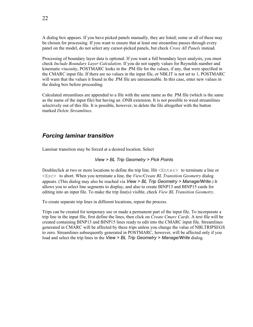A dialog box appears. If you have picked panels manually, they are listed; some or all of these may be chosen for processing. If you want to ensure that at least one streamline passes through every panel on the model, do not select any cursor-picked panels, but check *Cross All Panels* instead.

Processing of boundary layer data is optional. If you want a full boundary layer analysis, you must check *Include Boundary Layer Calculation*. If you do not supply values for Reynolds number and kinematic viscosity, POSTMARC looks in the .PM file for the values, if any, that were specified in the CMARC input file. If there are no values in the input file, or NBLIT is not set to 1, POSTMARC will warn that the values it found in the .PM file are unreasonable. In this case, enter new values in the dialog box before proceeding.

Calculated streamlines are appended to a file with the same name as the .PM file (which is the same as the name of the input file) but having an .ONB extension. It is not possible to weed streamlines selectively out of this file. It is possible, however, to delete the file altogether with the button marked *Delete Streamlines*.

## <span id="page-21-0"></span>*Forcing laminar transition*

Laminar transition may be forced at a desired location. Select

#### *View > BL Trip Geometry > Pick Points*

Doubleclick at two or more locations to define the trip line. Hit  $\leq$  Enter  $>$  to terminate a line or <Esc> to abort. When you terminate a line, the *View/Create BL Transition Geometry* dialog appears. (This dialog may also be reached via *View > BL Trip Geometry > Manage/Write*.) It allows you to select line segments to display, and also to create BINP13 and BINP15 cards for editing into an input file. To make the trip line(s) visible, check *View BL Transition Geometry*.

To create separate trip lines in different locations, repeat the process.

Trips can be created for temporary use or made a permanent part of the input file. To incorporate a trip line in the input file, first define the lines, then click on *Create Cmarc Cards*. A text file will be created containing BINP13 and BINP15 lines ready to edit into the CMARC input file. Streamlines generated in CMARC will be affected by these trips unless you change the value of NBLTRIPSEGS to zero. Streamlines subsequently generated in POSTMARC, however, will be affected only if you load and select the trip lines in the *View > BL Trip Geometry > Manage/Write* dialog.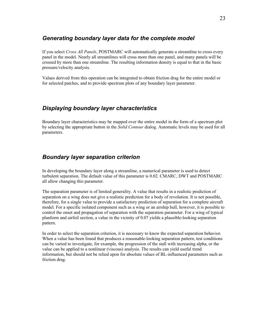## <span id="page-22-2"></span>*Generating boundary layer data for the complete model*

If you select *Cross All Panels*, POSTMARC will automatically generate a streamline to cross every panel in the model. Nearly all streamlines will cross more than one panel, and many panels will be crossed by more than one streamline. The resulting information density is equal to that in the basic pressure/velocity analysis.

Values derived from this operation can be integrated to obtain friction drag for the entire model or for selected patches, and to provide spectrum plots of any boundary layer parameter.

## <span id="page-22-1"></span>*Displaying boundary layer characteristics*

Boundary layer characteristics may be mapped over the entire model in the form of a spectrum plot by selecting the appropriate button in the *Solid Contour* dialog. Automatic levels may be used for all parameters.

## <span id="page-22-0"></span>*Boundary layer separation criterion*

In developing the boundary layer along a streamline, a numerical parameter is used to detect turbulent separation. The default value of this parameter is 0.02. CMARC, DWT and POSTMARC all allow changing this parameter.

The separation parameter is of limited generality. A value that results in a realistic prediction of separation on a wing does not give a realistic prediction for a body of revolution. It is not possible, therefore, for a single value to provide a satisfactory prediction of separation for a complete aircraft model. For a specific isolated component such as a wing or an airship hull, however, it is possible to control the onset and propagation of separation with the separation parameter. For a wing of typical planform and airfoil section, a value in the vicinity of 0.07 yields a plausible-looking separation pattern.

In order to select the separation criterion, it is necessary to know the expected separation behavior. When a value has been found that produces a reasonable-looking separation pattern, test conditions can be varied to investigate, for example, the progression of the stall with increasing alpha, or the value can be applied to a nonlinear (viscous) analysis. The results can yield useful trend information, but should not be relied upon for absolute values of BL-influenced parameters such as friction drag.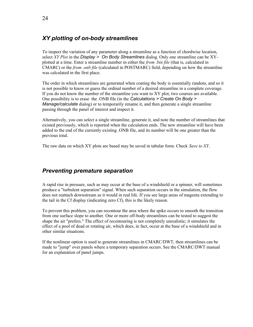# <span id="page-23-1"></span>*XY plotting of on-body streamlines*

To inspect the variation of any parameter along a streamline as a function of chordwise location, select *XY Plot* in the *Display > On Body Streamlines* dialog. Only one streamline can be XYplotted at a time. Enter a streamline number in either the *from .bin file* (that is, calculated in CMARC) or the *from .onb file* (calculated in POSTMARC) field, depending on how the streamline was calculated in the first place.

The order in which streamlines are generated when coating the body is essentially random, and so it is not possible to know or guess the ordinal number of a desired streamline in a complete coverage. If you do not know the number of the streamline you want to XY plot, two courses are available. One possibility is to erase the .ONB file (in the *Calculations > Create On Body > Manage/calculate* dialog) or to temporarily rename it, and then generate a single streamline passing through the panel of interest and inspect it.

Alternatively, you can select a single streamline, generate it, and note the number of streamlines that existed previously, which is reported when the calculation ends. The new streamline will have been added to the end of the currently existing .ONB file, and its number will be one greater than the previous total.

The raw data on which XY plots are based may be saved in tabular form. Check *Save to XY*.

## <span id="page-23-0"></span>*Preventing premature separation*

A rapid rise in pressure, such as may occur at the base of a windshield or a spinner, will sometimes produce a "turbulent separation" signal. When such separation occurs in the simulation, the flow does not reattach downstream as it would in real life. If you see large areas of magenta extending to the tail in the Cf display (indicating zero Cf), this is the likely reason.

To prevent this problem, you can recontour the area where the spike occurs to smooth the transition from one surface slope to another. One or more off-body streamlines can be tested to suggest the shape the air "prefers." The effect of recontouring is not completely unrealistic; it simulates the effect of a pool of dead or rotating air, which does, in fact, occur at the base of a windshield and in other similar situations.

If the nonlinear option is used to generate streamlines in CMARC/DWT, then streamlines can be made to "jump" over panels where a temporary separation occurs. See the CMARC/DWT manual for an explanation of panel jumps.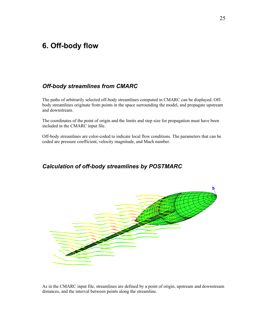# <span id="page-24-2"></span>**6. Off-body flow**

## <span id="page-24-0"></span>*Off-body streamlines from CMARC*

The paths of arbitrarily selected off-body streamlines computed in CMARC can be displayed. Offbody streamlines originate from points in the space surrounding the model, and propagate upstream and downstream.

The coordinates of the point of origin and the limits and step size for propagation must have been included in the CMARC input file.

Off-body streamlines are color-coded to indicate local flow conditions. The parameters that can be coded are pressure coefficient, velocity magnitude, and Mach number.

# <span id="page-24-1"></span>*Calculation of off-body streamlines by POSTMARC*



As in the CMARC input file, streamlines are defined by a point of origin, upstream and downstream distances, and the interval between points along the streamline.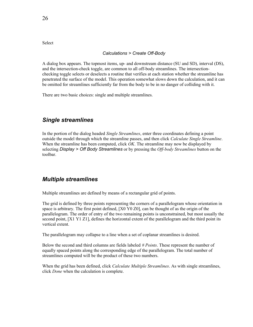**Select** 

#### *Calculations > Create Off-Body*

A dialog box appears. The topmost items, up- and downstream distance (SU and SD), interval (DS), and the intersection-check toggle, are common to all off-body streamlines. The intersectionchecking toggle selects or deselects a routine that verifies at each station whether the streamline has penetrated the surface of the model. This operation somewhat slows down the calculation, and it can be omitted for streamlines sufficiently far from the body to be in no danger of colliding with it.

There are two basic choices: single and multiple streamlines.

#### <span id="page-25-1"></span>*Single streamlines*

In the portion of the dialog headed *Single Streamlines*, enter three coordinates defining a point outside the model through which the streamline passes, and then click *Calculate Single Streamline*. When the streamline has been computed, click *OK*. The streamline may now be displayed by selecting *Display > Off Body Streamlines* or by pressing the *Off-body Streamlines* button on the toolbar.

#### <span id="page-25-0"></span>*Multiple streamlines*

Multiple streamlines are defined by means of a rectangular grid of points.

The grid is defined by three points representing the corners of a parallelogram whose orientation in space is arbitrary. The first point defined, [X0 Y0 Z0], can be thought of as the origin of the parallelogram. The order of entry of the two remaining points is unconstrained, but most usually the second point, [X1 Y1 Z1], defines the horizontal extent of the parallelogram and the third point its vertical extent.

The parallelogram may collapse to a line when a set of coplanar streamlines is desired.

Below the second and third columns are fields labeled *# Points*. These represent the number of equally spaced points along the corresponding edge of the parallelogram. The total number of streamlines computed will be the product of these two numbers.

When the grid has been defined, click *Calculate Multiple Streamlines*. As with single streamlines, click *Done* when the calculation is complete.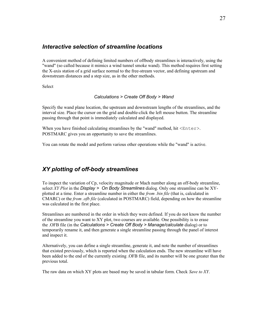#### <span id="page-26-1"></span>*Interactive selection of streamline locations*

A convenient method of defining limited numbers of offbody streamlines is interactively, using the "wand" (so called because it mimics a wind tunnel smoke wand). This method requires first setting the X-axis station of a grid surface normal to the free-stream vector, and defining upstream and downstream distances and a step size, as in the other methods.

**Select** 

#### *Calculations > Create Off Body > Wand*

Specify the wand plane location, the upstream and downstream lengths of the streamlines, and the interval size. Place the cursor on the grid and double-click the left mouse button. The streamline passing through that point is immediately calculated and displayed.

When you have finished calculating streamlines by the "wand" method, hit  $\leq$ nter>. POSTMARC gives you an opportunity to save the streamlines.

You can rotate the model and perform various other operations while the "wand" is active.

## <span id="page-26-0"></span>*XY plotting of off-body streamlines*

To inspect the variation of Cp, velocity magnitude or Mach number along an off-body streamline, select *XY Plot* in the *Display > On Body Streamlines* dialog. Only one streamline can be XYplotted at a time. Enter a streamline number in either the *from .bin file* (that is, calculated in CMARC) or the *from .ofb file* (calculated in POSTMARC) field, depending on how the streamline was calculated in the first place.

Streamlines are numbered in the order in which they were defined. If you do not know the number of the streamline you want to XY plot, two courses are available. One possibility is to erase the .OFB file (in the *Calculations > Create Off Body > Manage/calculate* dialog) or to temporarily rename it, and then generate a single streamline passing through the panel of interest and inspect it.

Alternatively, you can define a single streamline, generate it, and note the number of streamlines that existed previously, which is reported when the calculation ends. The new streamline will have been added to the end of the currently existing .OFB file, and its number will be one greater than the previous total.

The raw data on which XY plots are based may be saved in tabular form. Check *Save to XY*.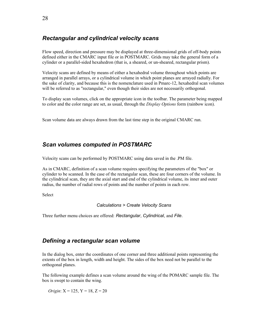## <span id="page-27-2"></span>*Rectangular and cylindrical velocity scans*

Flow speed, direction and pressure may be displayed at three-dimensional grids of off-body points defined either in the CMARC input file or in POSTMARC. Grids may take the general form of a cylinder or a parallel-sided hexahedron (that is, a sheared, or un-sheared, rectangular prism).

Velocity scans are defined by means of either a hexahedral volume throughout which points are arranged in parallel arrays, or a cylindrical volume in which point planes are arrayed radially. For the sake of clarity, and because this is the nomenclature used in Pmarc-12, hexahedral scan volumes will be referred to as "rectangular," even though their sides are not necessarily orthogonal.

To display scan volumes, click on the appropriate icon in the toolbar. The parameter being mapped to color and the color range are set, as usual, through the *Display Options* form (rainbow icon).

Scan volume data are always drawn from the last time step in the original CMARC run.

## <span id="page-27-1"></span>*Scan volumes computed in POSTMARC*

Velocity scans can be performed by POSTMARC using data saved in the .PM file.

As in CMARC, definition of a scan volume requires specifying the parameters of the "box" or cylinder to be scanned. In the case of the rectangular scan, these are four corners of the volume. In the cylindrical scan, they are the axial start and end of the cylindrical volume, its inner and outer radius, the number of radial rows of points and the number of points in each row.

Select

```
Calculations > Create Velocity Scans
```
Three further menu choices are offered: *Rectangular*, *Cylindrical*, and *File*.

## <span id="page-27-0"></span>*Defining a rectangular scan volume*

In the dialog box, enter the coordinates of one corner and three additional points representing the extents of the box in length, width and height. The sides of the box need not be parallel to the orthogonal planes.

The following example defines a scan volume around the wing of the POMARC sample file. The box is swept to contain the wing.

*Origin*: X = 125, Y = 18, Z = 20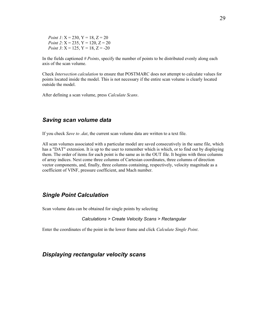*Point 1*:  $X = 230, Y = 18, Z = 20$ *Point 2*:  $X = 235$ ,  $Y = 120$ ,  $Z = 20$ *Point 3*:  $X = 125$ ,  $Y = 18$ ,  $Z = -20$ 

In the fields captioned *# Points*, specify the number of points to be distributed evenly along each axis of the scan volume.

Check *Intersection calculation* to ensure that POSTMARC does not attempt to calculate values for points located inside the model. This is not necessary if the entire scan volume is clearly located outside the model.

After defining a scan volume, press *Calculate Scans*.

#### <span id="page-28-2"></span>*Saving scan volume data*

If you check *Save to .dat*, the current scan volume data are written to a text file.

All scan volumes associated with a particular model are saved consecutively in the same file, which has a "DAT" extension. It is up to the user to remember which is which, or to find out by displaying them. The order of items for each point is the same as in the OUT file. It begins with three columns of array indices. Next come three columns of Cartesian coordinates, three columns of direction vector components, and, finally, three columns containing, respectively, velocity magnitude as a coefficient of VINF, pressure coefficient, and Mach number.

#### <span id="page-28-1"></span>*Single Point Calculation*

Scan volume data can be obtained for single points by selecting

#### *Calculations > Create Velocity Scans > Rectangular*

Enter the coordinates of the point in the lower frame and click *Calculate Single Point*.

#### <span id="page-28-0"></span>*Displaying rectangular velocity scans*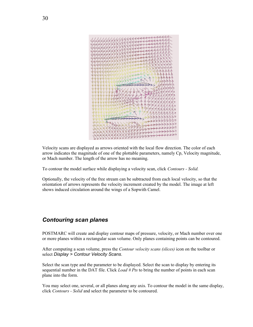

Velocity scans are displayed as arrows oriented with the local flow direction. The color of each arrow indicates the magnitude of one of the plottable parameters, namely Cp, Velocity magnitude, or Mach number. The length of the arrow has no meaning.

To contour the model surface while displaying a velocity scan, click *Contours - Solid.*

Optionally, the velocity of the free stream can be subtracted from each local velocity, so that the orientation of arrows represents the velocity increment created by the model. The image at left shows induced circulation around the wings of a Sopwith Camel.

# <span id="page-29-0"></span>*Contouring scan planes*

POSTMARC will create and display contour maps of pressure, velocity, or Mach number over one or more planes within a rectangular scan volume. Only planes containing points can be contoured.

After computing a scan volume, press the *Contour velocity scans (slices)* icon on the toolbar or select *Display > Contour Velocity Scans*.

Select the scan type and the parameter to be displayed. Select the scan to display by entering its sequential number in the DAT file. Click *Load # Pts* to bring the number of points in each scan plane into the form.

You may select one, several, or all planes along any axis. To contour the model in the same display, click *Contours - Solid* and select the parameter to be contoured.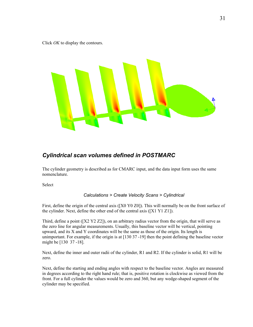Click *OK* to display the contours.



# <span id="page-30-0"></span>*Cylindrical scan volumes defined in POSTMARC*

The cylinder geometry is described as for CMARC input, and the data input form uses the same nomenclature.

Select

#### *Calculations > Create Velocity Scans > Cylindrical*

First, define the origin of the central axis ([X0 Y0 Z0]). This will normally be on the front surface of the cylinder. Next, define the other end of the central axis ([X1 Y1 Z1]).

Third, define a point ( $[X2 Y2 Z2]$ ), on an arbitrary radius vector from the origin, that will serve as the zero line for angular measurements. Usually, this baseline vector will be vertical, pointing upward, and its X and Y coordinates will be the same as those of the origin. Its length is unimportant. For example, if the origin is at [130 37 -19] then the point defining the baseline vector might be [130 37 -18].

Next, define the inner and outer radii of the cylinder, R1 and R2. If the cylinder is solid, R1 will be zero.

Next, define the starting and ending angles with respect to the baseline vector. Angles are measured in degrees according to the right hand rule; that is, positive rotation is clockwise as viewed from the front. For a full cylinder the values would be zero and 360, but any wedge-shaped segment of the cylinder may be specified.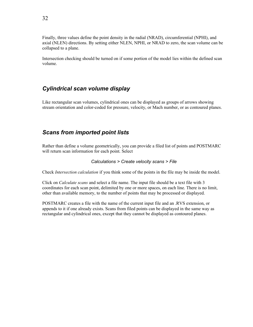Finally, three values define the point density in the radial (NRAD), circumferential (NPHI), and axial (NLEN) directions. By setting either NLEN, NPHI, or NRAD to zero, the scan volume can be collapsed to a plane.

Intersection checking should be turned on if some portion of the model lies within the defined scan volume.

## <span id="page-31-1"></span>*Cylindrical scan volume display*

Like rectangular scan volumes, cylindrical ones can be displayed as groups of arrows showing stream orientation and color-coded for pressure, velocity, or Mach number, or as contoured planes.

## <span id="page-31-0"></span>*Scans from imported point lists*

Rather than define a volume geometrically, you can provide a filed list of points and POSTMARC will return scan information for each point. Select

#### *Calculations > Create velocity scans > File*

Check *Intersection calculation* if you think some of the points in the file may be inside the model.

Click on *Calculate scans* and select a file name. The input file should be a text file with 3 coordinates for each scan point, delimited by one or more spaces, on each line. There is no limit, other than available memory, to the number of points that may be processed or displayed.

POSTMARC creates a file with the name of the current input file and an .RVS extension, or appends to it if one already exists. Scans from filed points can be displayed in the same way as rectangular and cylindrical ones, except that they cannot be displayed as contoured planes.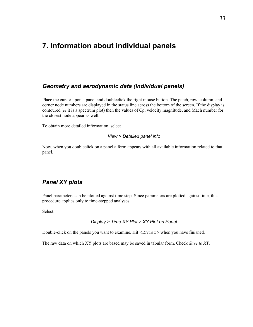# <span id="page-32-2"></span>**7. Information about individual panels**

#### <span id="page-32-1"></span>*Geometry and aerodynamic data (individual panels)*

Place the cursor upon a panel and doubleclick the right mouse button. The patch, row, column, and corner node numbers are displayed in the status line across the bottom of the screen. If the display is contoured (*ie* it is a spectrum plot) then the values of Cp, velocity magnitude, and Mach number for the closest node appear as well.

To obtain more detailed information, select

#### *View > Detailed panel info*

Now, when you doubleclick on a panel a form appears with all available information related to that panel.

## <span id="page-32-0"></span>*Panel XY plots*

Panel parameters can be plotted against time step. Since parameters are plotted against time, this procedure applies only to time-stepped analyses.

Select

#### *Display > Time XY Plot > XY Plot on Panel*

Double-click on the panels you want to examine. Hit  $\leq$  Enter  $>$  when you have finished.

The raw data on which XY plots are based may be saved in tabular form. Check *Save to XY*.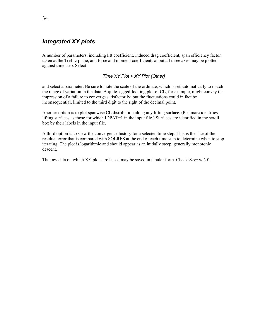## <span id="page-33-0"></span>*Integrated XY plots*

A number of parameters, including lift coefficient, induced drag coefficient, span efficiency factor taken at the Trefftz plane, and force and moment coefficients about all three axes may be plotted against time step. Select

#### *Time XY Plot > XY Plot (Other)*

and select a parameter. Be sure to note the scale of the ordinate, which is set automatically to match the range of variation in the data. A quite jagged-looking plot of CL, for example, might convey the impression of a failure to converge satisfactorily; but the fluctuations could in fact be inconsequential, limited to the third digit to the right of the decimal point.

Another option is to plot spanwise CL distribution along any lifting surface. (Postmarc identifies lifting surfaces as those for which IDPAT=1 in the input file.) Surfaces are identified in the scroll box by their labels in the input file.

A third option is to view the convergence history for a selected time step. This is the size of the residual error that is compared with SOLRES at the end of each time step to determine when to stop iterating. The plot is logarithmic and should appear as an initially steep, generally monotonic descent.

The raw data on which XY plots are based may be saved in tabular form. Check *Save to XY*.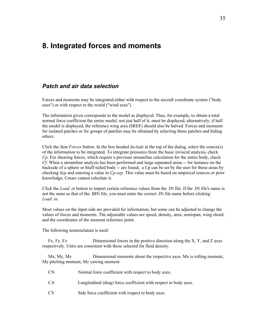# <span id="page-34-1"></span>**8. Integrated forces and moments**

#### <span id="page-34-0"></span>*Patch and air data selection*

Forces and moments may be integrated either with respect to the aircraft coordinate system ("body axes") or with respect to the world ("wind axes").

The information given corresponds to the model as displayed. Thus, for example, to obtain a total normal force coefficient the entire model, not just half of it, must be displayed; alternatively, if half the model is displayed, the reference wing area (SREF) should also be halved. Forces and moments for isolated patches or for groups of patches may be obtained by selecting those patches and hiding others.

Click the *Sum Forces* button. In the box headed *Include* at the top of the dialog, select the source(s) of the information to be integrated. To integrate pressures from the basic inviscid analysis, check *Cp*. For shearing forces, which require a previous streamline calculation for the entire body, check *Cf*. When a streamline analysis has been performed and large separated areas -- for instance on the backside of a sphere or bluff-tailed body -- are found, a Cp can be set by the user for those areas by checking *Sep* and entering a value in *Cp-sep*. This value must be based on empirical sources or prior knowledge; Cmarc cannot calculate it.

Click the *Load .in* button to import certain reference values from the .IN file. If the .IN file's name is not the same as that of the .BIN file, you must enter the correct .IN file name before clicking Load in.

Most values on the input side are provided for information, but some can be adjusted to change the values of forces and moments. The adjustable values are speed, density, area, semispan, wing chord, and the coordinates of the moment reference point.

The following nomenclature is used:

Fx, Fy, Fz Dimensional forces in the positive direction along the X, Y, and Z axes respectively. Units are consistent with those selected for fluid density.

Mx, My, Mz Dimensional moments about the respective axes. Mx is rolling moment, My pitching moment, Mz yawing moment.

| Normal force coefficient with respect to body axes. |
|-----------------------------------------------------|
|                                                     |

- CA Longitudinal (drag) force coefficient with respect to body axes.
- CY Side force coefficient with respect to body axes.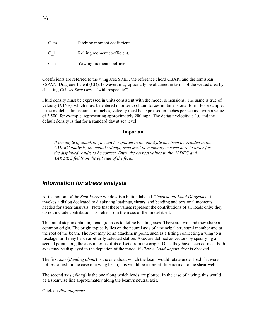| C m | Pitching moment coefficient. |
|-----|------------------------------|
| C 1 | Rolling moment coefficient.  |
| C n | Yawing moment coefficient.   |

Coefficients are referred to the wing area SREF, the reference chord CBAR, and the semispan SSPAN. Drag coefficient (CD), however, may optionally be obtained in terms of the wetted area by checking *CD wrt Swet* (*wrt* = "with respect to").

Fluid density must be expressed in units consistent with the model dimensions. The same is true of velocity (VINF), which must be entered in order to obtain forces in dimensional form. For example, if the model is dimensioned in inches, velocity must be expressed in inches per second, with a value of 3,500, for example, representing approximately 200 mph. The default velocity is 1.0 and the default density is that for a standard day at sea level.

#### **Important**

*If the angle of attack or yaw angle supplied in the input file has been overridden in the CMARC analysis, the actual value(s) used must be manually entered here in order for the displayed results to be correct. Enter the correct values in the ALDEG and YAWDEG fields on the left side of the form.*

#### <span id="page-35-0"></span>*Information for stress analysis*

At the bottom of the *Sum Forces* window is a button labeled *Dimensional Load Diagrams*. It invokes a dialog dedicated to displaying loadings, shears, and bending and torsional moments needed for stress analysis. Note that these values represent the contributions of air loads only; they do not include contributions or relief from the mass of the model itself.

The initial step in obtaining load graphs is to define bending axes. There are two, and they share a common origin. The origin typically lies on the neutral axis of a principal structural member and at the root of the beam. The root may be an attachment point, such as a fitting connecting a wing to a fuselage, or it may be an arbitrarily selected station. Axes are defined as vectors by specifying a second point along the axis in terms of its offsets from the origin. Once they have been defined, both axes may be displayed in the depiction of the model if *View > Load Report Axes* is checked.

The first axis (*Bending about*) is the one about which the beam would rotate under load if it were not restrained. In the case of a wing beam, this would be a fore-aft line normal to the shear web.

The second axis (*Along*) is the one along which loads are plotted. In the case of a wing, this would be a spanwise line approximately along the beam's neutral axis.

Click on *Plot diagrams*.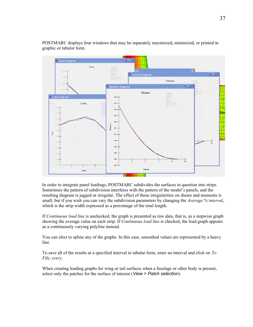

POSTMARC displays four windows that may be separately maximized, minimized, or printed in graphic or tabular form.

In order to integrate panel loadings, POSTMARC subdivides the surfaces in question into strips. Sometimes the pattern of subdivision interferes with the pattern of the model's panels, and the resulting diagram is jagged or irregular. The effect of these irregularities on shears and moments is small, but if you wish you can vary the subdivision parameters by changing the *Average % interval*, which is the strip width expressed as a percentage of the total length.

If *Continuous load line* is unchecked, the graph is presented as raw data, that is, as a stepwise graph showing the average value on each strip. If *Continuous load line* is checked, the load graph appears as a continuously varying polyline instead.

You can elect to spline any of the graphs. In this case, smoothed values are represented by a heavy line.

To save all of the results at a specified interval in tabular form, enter an interval and click on *To File, every*.

When creating loading graphs for wing or tail surfaces when a fuselage or other body is present, select only the patches for the surface of interest (*View > Patch selection*).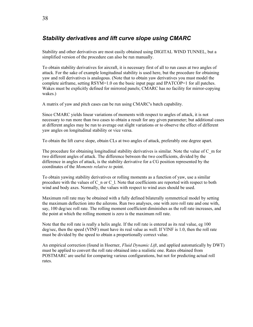# <span id="page-37-0"></span>*Stability derivatives and lift curve slope using CMARC*

Stability and other derivatives are most easily obtained using DIGITAL WIND TUNNEL, but a simplified version of the procedure can also be run manually.

To obtain stability derivatives for aircraft, it is necessary first of all to run cases at two angles of attack. For the sake of example longitudinal stability is used here, but the procedure for obtaining yaw and roll derivatives is analogous. (Note that to obtain yaw derivatives you must model the complete airframe, setting RSYM=1.0 on the basic input page and IPATCOP=1 for all patches. Wakes must be explicitly defined for mirrored panels; CMARC has no facility for mirror-copying wakes.)

A matrix of yaw and pitch cases can be run using CMARC's batch capability.

Since CMARC yields linear variations of moments with respect to angles of attack, it is not necessary to run more than two cases to obtain a result for any given parameter; but additional cases at different angles may be run to average out slight variations or to observe the effect of different yaw angles on longitudinal stability or vice versa.

To obtain the lift curve slope, obtain CLs at two angles of attack, preferably one degree apart.

The procedure for obtaining longitudinal stability derivatives is similar. Note the value of C\_m for two different angles of attack. The difference between the two coefficients, divided by the difference in angles of attack, is the stability derivative for a CG position represented by the coordinates of the *Moments relative to* point.

To obtain yawing stability derivatives or rolling moments as a function of yaw, use a similar procedure with the values of C\_n or C\_l. Note that coefficients are reported with respect to both wind and body axes. Normally, the values with respect to wind axes should be used.

Maximum roll rate may be obtained with a fully defined bilaterally symmetrical model by setting the maximum deflection into the ailerons. Run two analyses, one with zero roll rate and one with, say, 100 deg/sec roll rate. The rolling moment coefficient diminishes as the roll rate increases, and the point at which the rolling moment is zero is the maximum roll rate.

Note that the roll rate is really a helix angle. If the roll rate is entered as its real value, eg 100 deg/sec, then the speed (VINF) must have its real value as well. If VINF is 1.0, then the roll rate must be divided by the speed to obtain a proportionally correct value.

An empirical correction (found in Hoerner, *Fluid Dynamic Lift*, and applied automatically by DWT) must be applied to convert the roll rate obtained into a realistic one. Rates obtained from POSTMARC are useful for comparing various configurations, but not for predicting actual roll rates.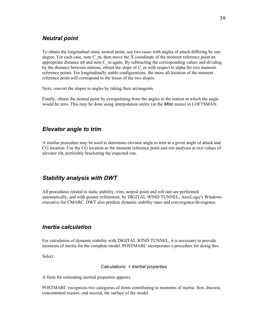## <span id="page-38-3"></span>*Neutral point*

To obtain the longitudinal static neutral point, use two cases with angles of attack differing by one degree. For each case, note  $C_m$ , then move the X coordinate of the moment reference point an appropriate distance aft and note C\_m again. By subtracting the corresponding values and dividing by the distance between stations, obtain the slope of C\_m with respect to alpha for two moment reference points. For longitudinally stable configurations, the more aft location of the moment reference point will correspond to the lesser of the two slopes.

Next, convert the slopes to angles by taking their arctangents.

Finally, obtain the neutral point by extrapolating from the angles to the station at which the angle would be zero. This may be done using interpolation utility (in the *Misc* menu) in LOFTSMAN.

## <span id="page-38-2"></span>*Elevator angle to trim*

A similar procedure may be used to determine elevator angle to trim at a given angle of attack and CG location. Use the CG location as the moment reference point and run analyses at two values of elevator tilt, preferably bracketing the expected one.

## <span id="page-38-1"></span>*Stability analysis with DWT*

All procedures related to static stability, trim, neutral point and roll rate are performed automatically, and with greater refinement, by DIGITAL WIND TUNNEL, AeroLogic's Windows executive for CMARC. DWT also predicts dynamic stability rates and convergence/divergence.

#### <span id="page-38-0"></span>*Inertia calculation*

For calculation of dynamic stability with DIGITAL WIND TUNNEL, it is necessary to provide moments of inertia for the complete model. POSTMARC incorporates a procedure for doing this.

Select

*Calculations > Inertial properties*

A form for estimating inertial properties appears.

POSTMARC recognizes two categories of items contributing to moments of inertia: first, discrete, concentrated masses, and second, the surface of the model.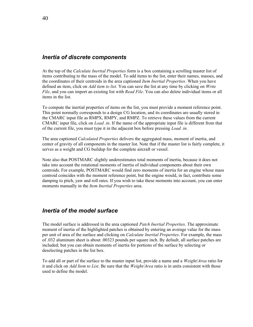#### <span id="page-39-1"></span>*Inertia of discrete components*

At the top of the *Calculate Inertial Properties* form is a box containing a scrolling master list of items contributing to the mass of the model. To add items to the list, enter their names, masses, and the coordinates of their centroids in the area captioned *Item Inertial Properties*. When you have defined an item, click on *Add item to list.* You can save the list at any time by clicking on *Write File*, and you can import an existing list with *Read File*. You can also delete individual items or all items in the list.

To compute the inertial properties of items on the list, you must provide a moment reference point. This point normally corresponds to a design CG location, and its coordinates are usually stored in the CMARC input file as RMPX, RMPY, and RMPZ. To retrieve these values from the current CMARC input file, click on *Load .in*. If the name of the appropriate input file is different from that of the current file, you must type it in the adjacent box before pressing *Load .in*.

The area captioned *Calculated Properties* delivers the aggregated mass, moment of inertia, and center of gravity of all components in the master list. Note that if the master list is fairly complete, it serves as a weight and CG buildup for the complete aircraft or vessel.

Note also that POSTMARC slightly underestimates total moments of inertia, because it does not take into account the rotational moments of inertia of individual components about their own centroids. For example, POSTMARC would find zero moments of inertia for an engine whose mass centroid coincides with the moment reference point, but the engine would, in fact, contribute some damping to pitch, yaw and roll rates. If you wish to take these moments into account, you can enter moments manually in the *Item Inertial Properties* area.

## <span id="page-39-0"></span>*Inertia of the model surface*

The model surface is addressed in the area captioned *Patch Inertial Properties*. The approximate moment of inertia of the highlighted patches is obtained by entering an average value for the mass per unit of area of the surface and clicking on *Calculate Inertial Properties*. For example, the mass of .032 aluminum sheet is about .00323 pounds per square inch. By default, all surface patches are included; but you can obtain moments of inertia for portions of the surface by selecting or deselecting patches in the list box.

To add all or part of the surface to the master input list, provide a name and a *Weight/Area* ratio for it and click on *Add Item to List*. Be sure that the *Weight/Area* ratio is in units consistent with those used to define the model.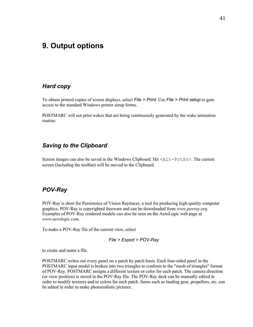# <span id="page-40-3"></span>**9. Output options**

#### <span id="page-40-2"></span>*Hard copy*

To obtain printed copies of screen displays, select *File > Print*. Use *File > Print setup* to gain access to the standard Windows printer setup forms.

POSTMARC will not print wakes that are being continuously generated by the wake animation routine.

#### <span id="page-40-1"></span>*Saving to the Clipboard*

Screen images can also be saved in the Windows Clipboard. Hit  $\langle \text{Alt-PtES} \rangle$ . The current screen (including the toolbar) will be moved to the Clipboard.

#### <span id="page-40-0"></span>*POV-Ray*

POV-Ray is short for Persistence of Vision Raytracer, a tool for producing high-quality computer graphics. POV-Ray is copyrighted freeware and can be downloaded from *www.povray.org*. Examples of POV-Ray rendered models can also be seen on the AeroLogic web page at *www.aerologic.com*.

To make a POV-Ray file of the current view, select

*File > Export > POV-Ray*

to create and name a file.

POSTMARC writes out every panel on a patch by patch basis. Each four-sided panel in the POSTMARC input model is broken into two triangles to conform to the "mesh of triangles" format of POV-Ray. POSTMARC assigns a different texture or color for each patch. The camera direction (or view position) is stored in the POV-Ray file. The POV-Ray deck can be manually edited in order to modify textures and/or colors for each patch. Items such as landing gear, propellers, etc. can be added in order to make photorealistic pictures.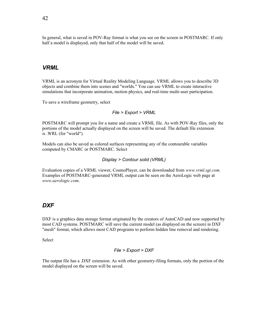In general, what is saved in POV-Ray format is what you see on the screen in POSTMARC. If only half a model is displayed, only that half of the model will be saved.

#### <span id="page-41-1"></span>*VRML*

VRML is an acronym for Virtual Reality Modeling Language. VRML allows you to describe 3D objects and combine them into scenes and "worlds." You can use VRML to create interactive simulations that incorporate animation, motion physics, and real-time multi-user participation.

To save a wireframe geometry, select

#### *File > Export > VRML*

POSTMARC will prompt you for a name and create a VRML file. As with POV-Ray files, only the portions of the model actually displayed on the screen will be saved. The default file extension is .WRL (for "world").

Models can also be saved as colored surfaces representing any of the contourable variables computed by CMARC or POSTMARC. Select

#### *Display > Contour solid (VRML)*

Evaluation copies of a VRML viewer, CosmoPlayer, can be downloaded from *www.vrml.sgi.com*. Examples of POSTMARC-generated VRML output can be seen on the AeroLogic web page at *www.aerologic.com*.

#### <span id="page-41-0"></span>*DXF*

DXF is a graphics data storage format originated by the creators of AutoCAD and now supported by most CAD systems. POSTMARC will save the current model (as displayed on the screen) in DXF "mesh" format, which allows most CAD programs to perform hidden line removal and rendering.

**Select** 

#### *File > Export > DXF*

The output file has a .DXF extension. As with other geometry-filing formats, only the portion of the model displayed on the screen will be saved.